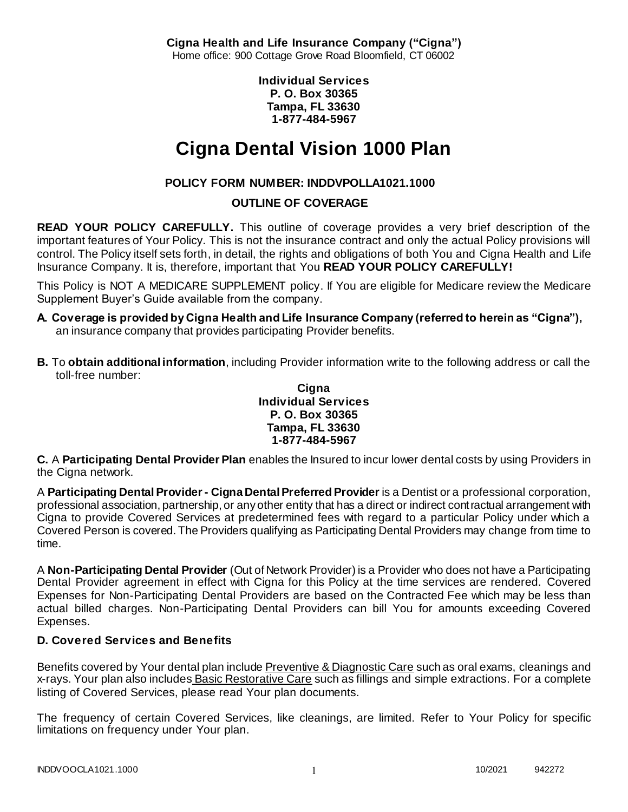**Cigna Health and Life Insurance Company ("Cigna")** Home office: 900 Cottage Grove Road Bloomfield, CT 06002

> **Individual Services P. O. Box 30365 Tampa, FL 33630 1-877-484-5967**

# **Cigna Dental Vision 1000 Plan**

# **POLICY FORM NUMBER: INDDVPOLLA1021.1000**

# **OUTLINE OF COVERAGE**

**READ YOUR POLICY CAREFULLY.** This outline of coverage provides a very brief description of the important features of Your Policy. This is not the insurance contract and only the actual Policy provisions will control. The Policy itself sets forth, in detail, the rights and obligations of both You and Cigna Health and Life Insurance Company. It is, therefore, important that You **READ YOUR POLICY CAREFULLY!** 

This Policy is NOT A MEDICARE SUPPLEMENT policy. If You are eligible for Medicare review the Medicare Supplement Buyer's Guide available from the company.

- **A. Coverage is provided by Cigna Health and Life Insurance Company (referred to herein as "Cigna"),**  an insurance company that provides participating Provider benefits.
- **B.** To **obtain additional information**, including Provider information write to the following address or call the toll-free number:

#### **Cigna Individual Services P. O. Box 30365 Tampa, FL 33630 1-877-484-5967**

**C.** A **Participating Dental Provider Plan** enables the Insured to incur lower dental costs by using Providers in the Cigna network.

A **Participating Dental Provider - Cigna Dental Preferred Provider** is a Dentist or a professional corporation, professional association, partnership, or any other entity that has a direct or indirect contractual arrangement with Cigna to provide Covered Services at predetermined fees with regard to a particular Policy under which a Covered Person is covered. The Providers qualifying as Participating Dental Providers may change from time to time.

A **Non-Participating Dental Provider** (Out of Network Provider) is a Provider who does not have a Participating Dental Provider agreement in effect with Cigna for this Policy at the time services are rendered. Covered Expenses for Non-Participating Dental Providers are based on the Contracted Fee which may be less than actual billed charges. Non-Participating Dental Providers can bill You for amounts exceeding Covered Expenses.

# **D. Covered Services and Benefits**

Benefits covered by Your dental plan include Preventive & Diagnostic Care such as oral exams, cleanings and x-rays. Your plan also includes Basic Restorative Care such as fillings and simple extractions. For a complete listing of Covered Services, please read Your plan documents.

The frequency of certain Covered Services, like cleanings, are limited. Refer to Your Policy for specific limitations on frequency under Your plan.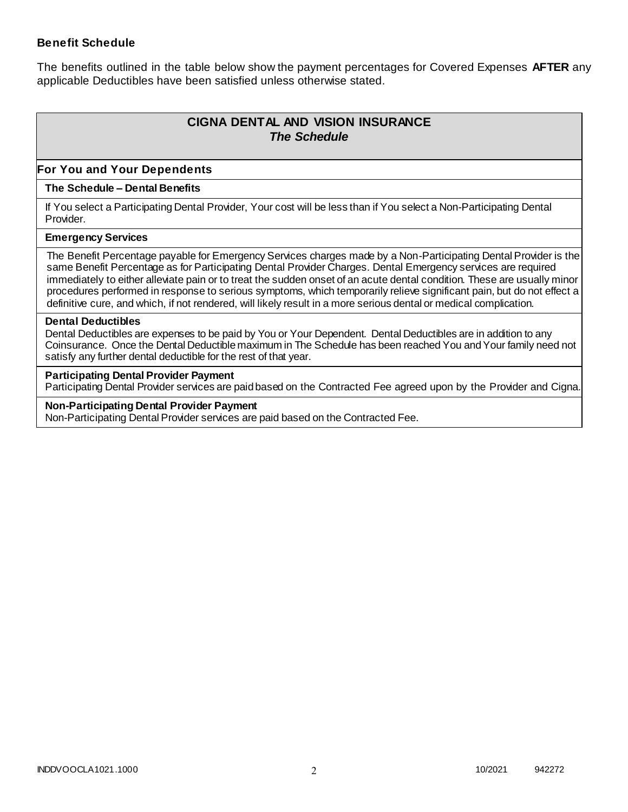### **Benefit Schedule**

The benefits outlined in the table below show the payment percentages for Covered Expenses **AFTER** any applicable Deductibles have been satisfied unless otherwise stated.

# **CIGNA DENTAL AND VISION INSURANCE** *The Schedule*

### **For You and Your Dependents**

#### **The Schedule – Dental Benefits**

If You select a Participating Dental Provider, Your cost will be less than if You select a Non-Participating Dental Provider.

#### **Emergency Services**

The Benefit Percentage payable for Emergency Services charges made by a Non-Participating Dental Provider is the same Benefit Percentage as for Participating Dental Provider Charges. Dental Emergency services are required immediately to either alleviate pain or to treat the sudden onset of an acute dental condition. These are usually minor procedures performed in response to serious symptoms, which temporarily relieve significant pain, but do not effect a definitive cure, and which, if not rendered, will likely result in a more serious dental or medical complication.

#### **Dental Deductibles**

Dental Deductibles are expenses to be paid by You or Your Dependent. Dental Deductibles are in addition to any Coinsurance. Once the Dental Deductible maximum in The Schedule has been reached You and Your family need not satisfy any further dental deductible for the rest of that year.

#### **Participating Dental Provider Payment**

Participating Dental Provider services are paid based on the Contracted Fee agreed upon by the Provider and Cigna.

**Non-Participating Dental Provider Payment** Non-Participating Dental Provider services are paid based on the Contracted Fee.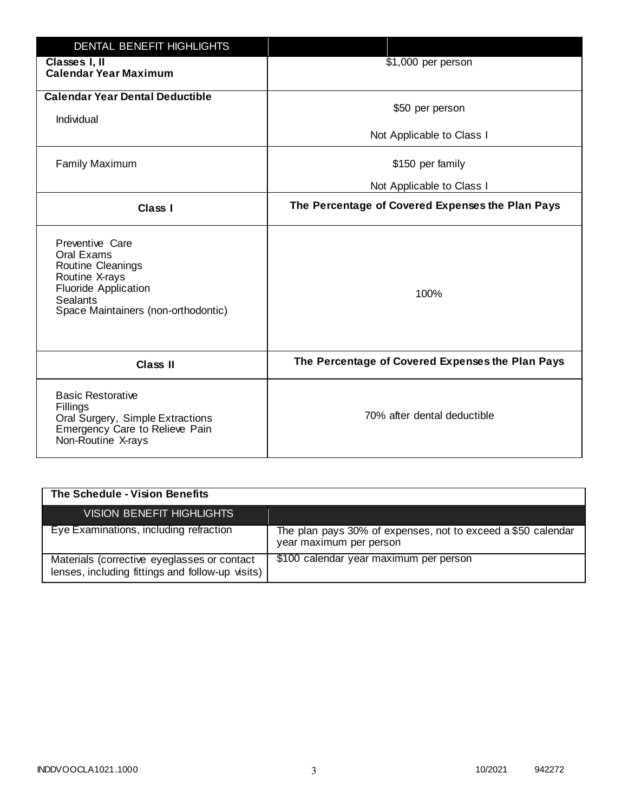| <b>DENTAL BENEFIT HIGHLIGHTS</b>                                                                                                                              |                                                  |
|---------------------------------------------------------------------------------------------------------------------------------------------------------------|--------------------------------------------------|
| Classes I, II<br><b>Calendar Year Maximum</b>                                                                                                                 | \$1,000 per person                               |
| <b>Calendar Year Dental Deductible</b><br>Individual                                                                                                          | \$50 per person                                  |
|                                                                                                                                                               | Not Applicable to Class I                        |
| <b>Family Maximum</b>                                                                                                                                         | \$150 per family                                 |
|                                                                                                                                                               | Not Applicable to Class I                        |
| <b>Class I</b>                                                                                                                                                | The Percentage of Covered Expenses the Plan Pays |
| Preventive Care<br>Oral Exams<br>Routine Cleanings<br>Routine X-rays<br><b>Fluoride Application</b><br><b>Sealants</b><br>Space Maintainers (non-orthodontic) | 100%                                             |
| <b>Class II</b>                                                                                                                                               | The Percentage of Covered Expenses the Plan Pays |
| <b>Basic Restorative</b><br>Fillings<br>Oral Surgery, Simple Extractions<br>Emergency Care to Relieve Pain<br>Non-Routine X-rays                              | 70% after dental deductible                      |

| The Schedule - Vision Benefits                                                                  |                                                                                         |
|-------------------------------------------------------------------------------------------------|-----------------------------------------------------------------------------------------|
| VISION BENEFIT HIGHLIGHTS                                                                       |                                                                                         |
| Eye Examinations, including refraction                                                          | The plan pays 30% of expenses, not to exceed a \$50 calendar<br>year maximum per person |
| Materials (corrective eyeglasses or contact<br>lenses, including fittings and follow-up visits) | \$100 calendar year maximum per person                                                  |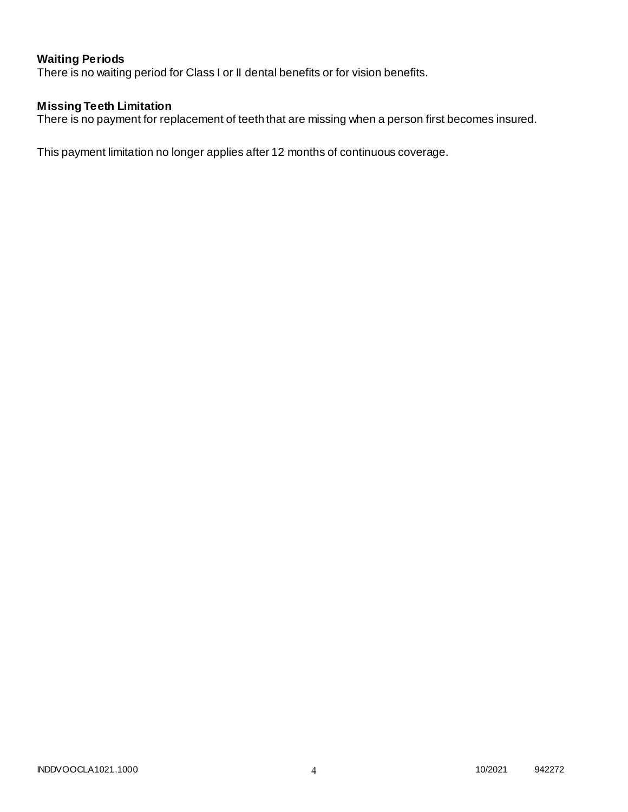# **Waiting Periods**

There is no waiting period for Class I or II dental benefits or for vision benefits.

### **Missing Teeth Limitation**

There is no payment for replacement of teeth that are missing when a person first becomes insured.

This payment limitation no longer applies after 12 months of continuous coverage.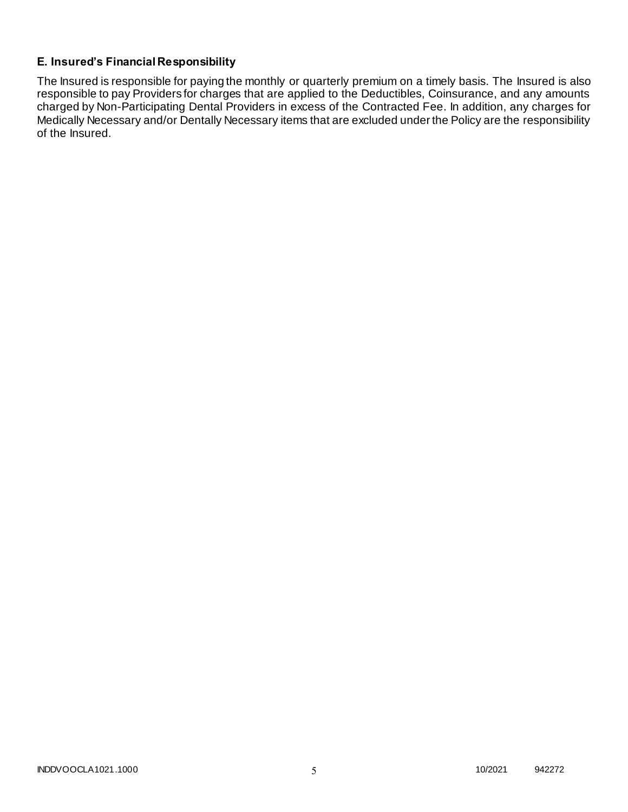## **E. Insured's Financial Responsibility**

The Insured is responsible for paying the monthly or quarterly premium on a timely basis. The Insured is also responsible to pay Providers for charges that are applied to the Deductibles, Coinsurance, and any amounts charged by Non-Participating Dental Providers in excess of the Contracted Fee. In addition, any charges for Medically Necessary and/or Dentally Necessary items that are excluded under the Policy are the responsibility of the Insured.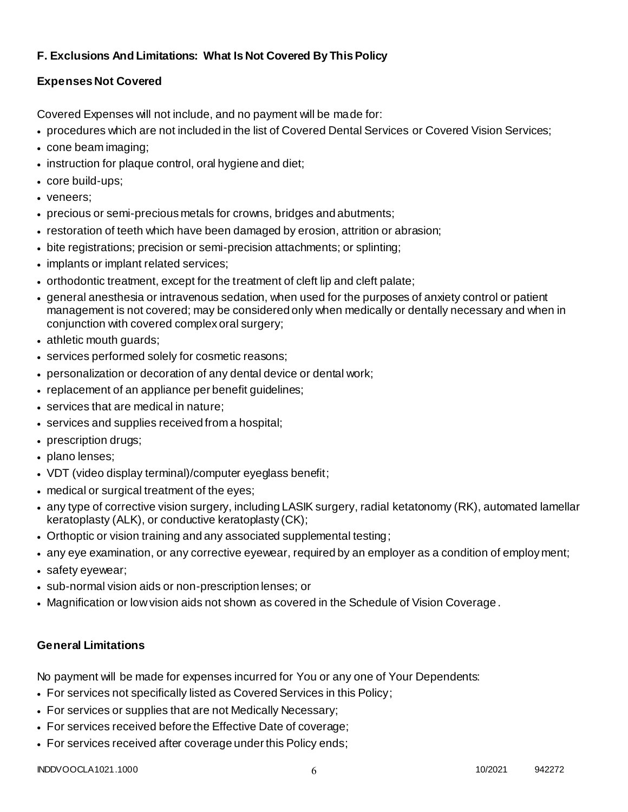# **F. Exclusions And Limitations: What Is Not Covered By This Policy**

# **Expenses Not Covered**

Covered Expenses will not include, and no payment will be made for:

- procedures which are not included in the list of Covered Dental Services or Covered Vision Services;
- cone beam imaging;
- instruction for plaque control, oral hygiene and diet;
- core build-ups;
- veneers;
- precious or semi-precious metals for crowns, bridges and abutments;
- restoration of teeth which have been damaged by erosion, attrition or abrasion;
- bite registrations; precision or semi-precision attachments; or splinting;
- implants or implant related services;
- orthodontic treatment, except for the treatment of cleft lip and cleft palate;
- general anesthesia or intravenous sedation, when used for the purposes of anxiety control or patient management is not covered; may be considered only when medically or dentally necessary and when in conjunction with covered complex oral surgery;
- athletic mouth guards;
- services performed solely for cosmetic reasons;
- personalization or decoration of any dental device or dental work;
- replacement of an appliance per benefit quidelines;
- services that are medical in nature;
- services and supplies received from a hospital;
- prescription drugs;
- plano lenses;
- VDT (video display terminal)/computer eyeglass benefit;
- medical or surgical treatment of the eyes;
- any type of corrective vision surgery, including LASIK surgery, radial ketatonomy (RK), automated lamellar keratoplasty (ALK), or conductive keratoplasty (CK);
- Orthoptic or vision training and any associated supplemental testing;
- any eye examination, or any corrective eyewear, required by an employer as a condition of employment;
- safety eyewear;
- sub-normal vision aids or non-prescription lenses; or
- Magnification or low vision aids not shown as covered in the Schedule of Vision Coverage.

# **General Limitations**

No payment will be made for expenses incurred for You or any one of Your Dependents:

- For services not specifically listed as Covered Services in this Policy;
- For services or supplies that are not Medically Necessary;
- For services received before the Effective Date of coverage;
- For services received after coverage under this Policy ends;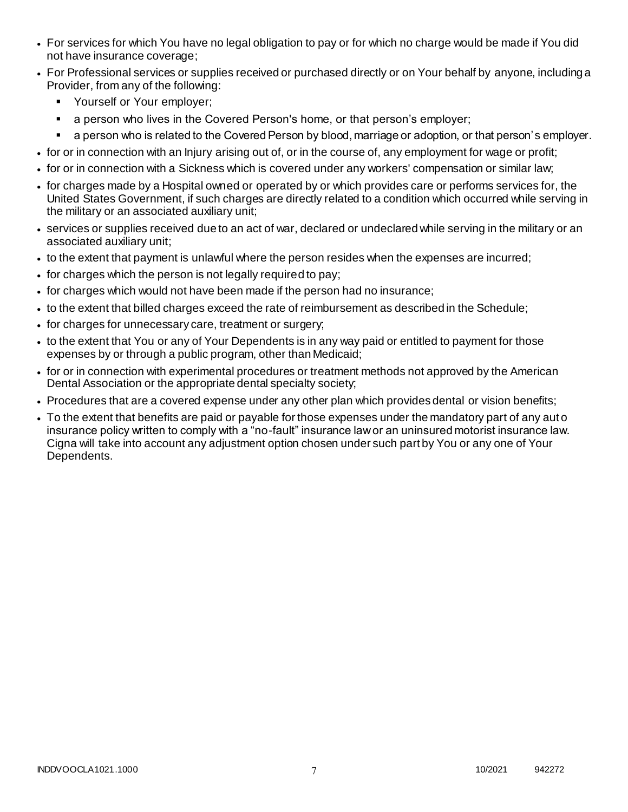- For services for which You have no legal obligation to pay or for which no charge would be made if You did not have insurance coverage;
- For Professional services or supplies received or purchased directly or on Your behalf by anyone, including a Provider, from any of the following:
	- **•** Yourself or Your employer;
	- **a** person who lives in the Covered Person's home, or that person's employer;
	- a person who is related to the Covered Person by blood, marriage or adoption, or that person's employer.
- for or in connection with an Injury arising out of, or in the course of, any employment for wage or profit;
- for or in connection with a Sickness which is covered under any workers' compensation or similar law;
- for charges made by a Hospital owned or operated by or which provides care or performs services for, the United States Government, if such charges are directly related to a condition which occurred while serving in the military or an associated auxiliary unit;
- services or supplies received due to an act of war, declared or undeclared while serving in the military or an associated auxiliary unit;
- to the extent that payment is unlawful where the person resides when the expenses are incurred;
- for charges which the person is not legally required to pay;
- for charges which would not have been made if the person had no insurance;
- to the extent that billed charges exceed the rate of reimbursement as described in the Schedule;
- for charges for unnecessary care, treatment or surgery;
- to the extent that You or any of Your Dependents is in any way paid or entitled to payment for those expenses by or through a public program, other than Medicaid;
- for or in connection with experimental procedures or treatment methods not approved by the American Dental Association or the appropriate dental specialty society;
- Procedures that are a covered expense under any other plan which provides dental or vision benefits;
- To the extent that benefits are paid or payable for those expenses under the mandatory part of any aut o insurance policy written to comply with a "no-fault" insurance law or an uninsured motorist insurance law. Cigna will take into account any adjustment option chosen under such part by You or any one of Your Dependents.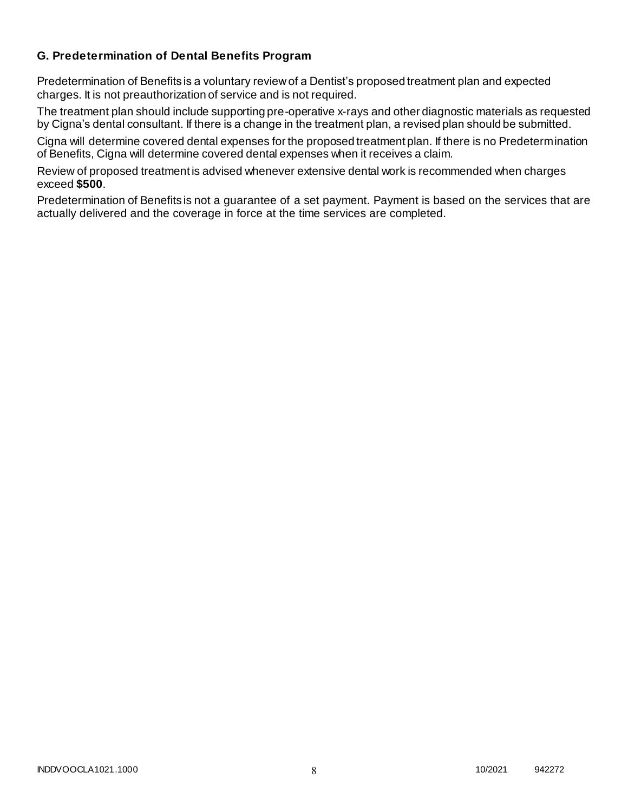### **G. Predetermination of Dental Benefits Program**

Predetermination of Benefits is a voluntary review of a Dentist's proposed treatment plan and expected charges. It is not preauthorization of service and is not required.

The treatment plan should include supporting pre-operative x-rays and other diagnostic materials as requested by Cigna's dental consultant. If there is a change in the treatment plan, a revised plan should be submitted.

Cigna will determine covered dental expenses for the proposed treatment plan. If there is no Predetermination of Benefits, Cigna will determine covered dental expenses when it receives a claim.

Review of proposed treatment is advised whenever extensive dental work is recommended when charges exceed **\$500**.

Predetermination of Benefits is not a guarantee of a set payment. Payment is based on the services that are actually delivered and the coverage in force at the time services are completed.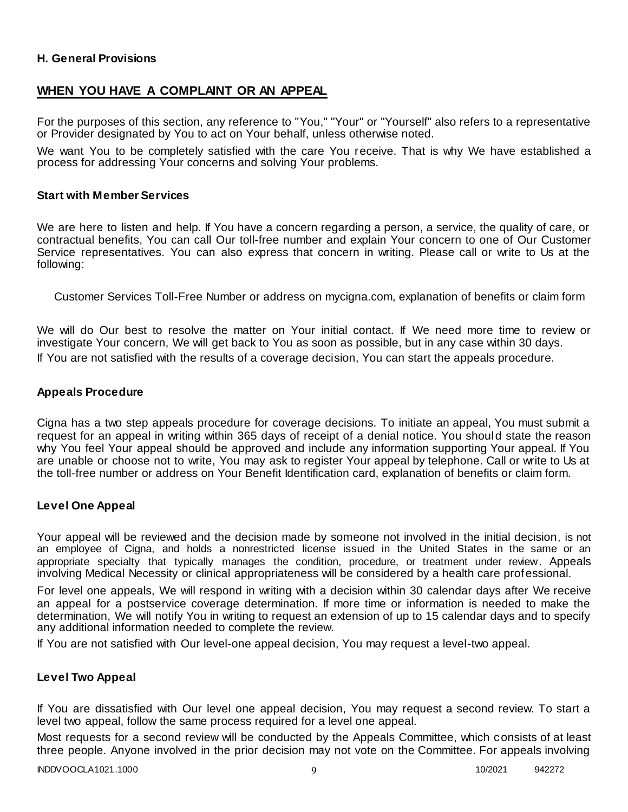### **H. General Provisions**

### **WHEN YOU HAVE A COMPLAINT OR AN APPEAL**

For the purposes of this section, any reference to "You," "Your" or "Yourself" also refers to a representative or Provider designated by You to act on Your behalf, unless otherwise noted.

We want You to be completely satisfied with the care You receive. That is why We have established a process for addressing Your concerns and solving Your problems.

#### **Start with Member Services**

We are here to listen and help. If You have a concern regarding a person, a service, the quality of care, or contractual benefits, You can call Our toll-free number and explain Your concern to one of Our Customer Service representatives. You can also express that concern in writing. Please call or write to Us at the following:

Customer Services Toll-Free Number or address on mycigna.com, explanation of benefits or claim form

We will do Our best to resolve the matter on Your initial contact. If We need more time to review or investigate Your concern, We will get back to You as soon as possible, but in any case within 30 days. If You are not satisfied with the results of a coverage decision, You can start the appeals procedure.

#### **Appeals Procedure**

Cigna has a two step appeals procedure for coverage decisions. To initiate an appeal, You must submit a request for an appeal in writing within 365 days of receipt of a denial notice. You should state the reason why You feel Your appeal should be approved and include any information supporting Your appeal. If You are unable or choose not to write, You may ask to register Your appeal by telephone. Call or write to Us at the toll-free number or address on Your Benefit Identification card, explanation of benefits or claim form.

#### **Level One Appeal**

Your appeal will be reviewed and the decision made by someone not involved in the initial decision, is not an employee of Cigna, and holds a nonrestricted license issued in the United States in the same or an appropriate specialty that typically manages the condition, procedure, or treatment under review. Appeals involving Medical Necessity or clinical appropriateness will be considered by a health care prof essional.

For level one appeals, We will respond in writing with a decision within 30 calendar days after We receive an appeal for a postservice coverage determination. If more time or information is needed to make the determination, We will notify You in writing to request an extension of up to 15 calendar days and to specify any additional information needed to complete the review.

If You are not satisfied with Our level-one appeal decision, You may request a level-two appeal.

#### **Level Two Appeal**

If You are dissatisfied with Our level one appeal decision, You may request a second review. To start a level two appeal, follow the same process required for a level one appeal.

Most requests for a second review will be conducted by the Appeals Committee, which consists of at least three people. Anyone involved in the prior decision may not vote on the Committee. For appeals involving

INDDVOOCLA1021.1000 9 10/2021 942272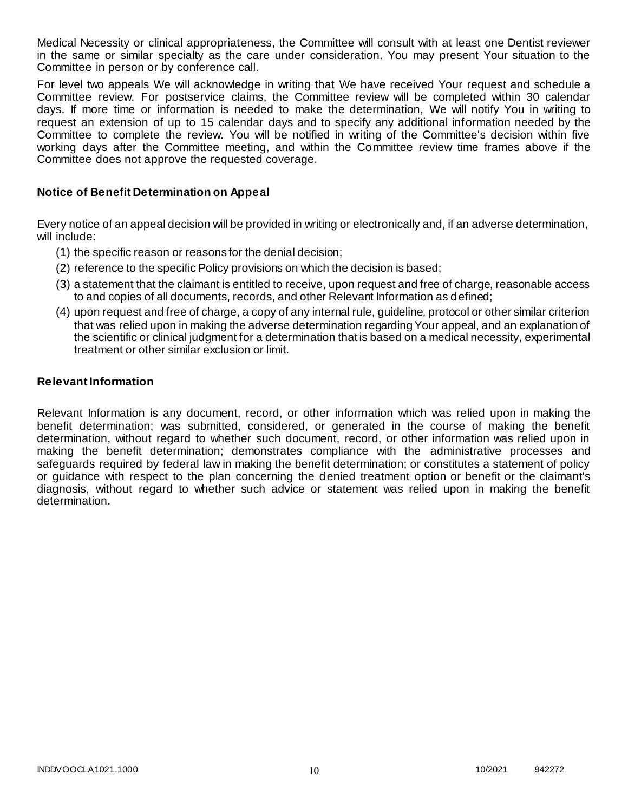Medical Necessity or clinical appropriateness, the Committee will consult with at least one Dentist reviewer in the same or similar specialty as the care under consideration. You may present Your situation to the Committee in person or by conference call.

For level two appeals We will acknowledge in writing that We have received Your request and schedule a Committee review. For postservice claims, the Committee review will be completed within 30 calendar days. If more time or information is needed to make the determination, We will notify You in writing to request an extension of up to 15 calendar days and to specify any additional information needed by the Committee to complete the review. You will be notified in writing of the Committee's decision within five working days after the Committee meeting, and within the Committee review time frames above if the Committee does not approve the requested coverage.

### **Notice of Benefit Determination on Appeal**

Every notice of an appeal decision will be provided in writing or electronically and, if an adverse determination, will include:

- (1) the specific reason or reasons for the denial decision;
- (2) reference to the specific Policy provisions on which the decision is based;
- (3) a statement that the claimant is entitled to receive, upon request and free of charge, reasonable access to and copies of all documents, records, and other Relevant Information as defined;
- (4) upon request and free of charge, a copy of any internal rule, guideline, protocol or other similar criterion that was relied upon in making the adverse determination regarding Your appeal, and an explanation of the scientific or clinical judgment for a determination that is based on a medical necessity, experimental treatment or other similar exclusion or limit.

#### **Relevant Information**

Relevant Information is any document, record, or other information which was relied upon in making the benefit determination; was submitted, considered, or generated in the course of making the benefit determination, without regard to whether such document, record, or other information was relied upon in making the benefit determination; demonstrates compliance with the administrative processes and safeguards required by federal law in making the benefit determination; or constitutes a statement of policy or guidance with respect to the plan concerning the denied treatment option or benefit or the claimant's diagnosis, without regard to whether such advice or statement was relied upon in making the benefit determination.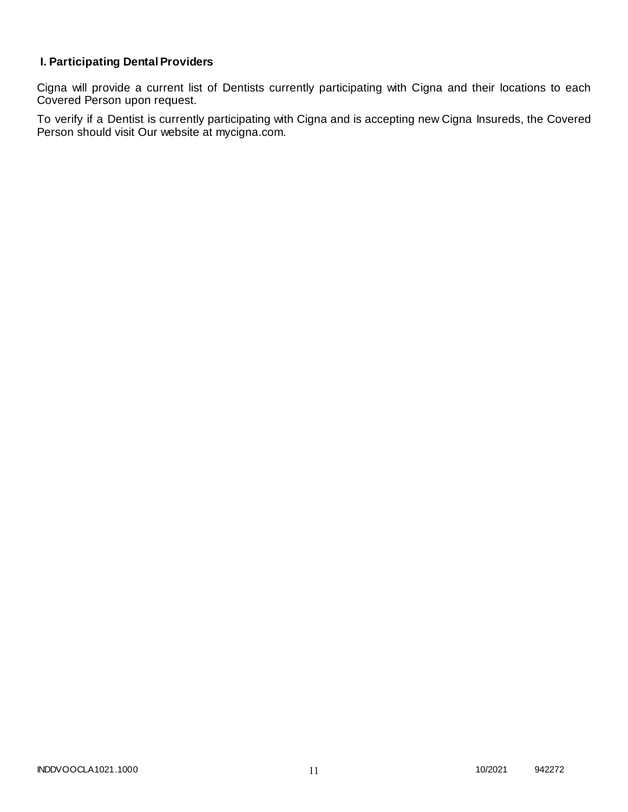# **I. Participating Dental Providers**

Cigna will provide a current list of Dentists currently participating with Cigna and their locations to each Covered Person upon request.

To verify if a Dentist is currently participating with Cigna and is accepting new Cigna Insureds, the Covered Person should visit Our website at mycigna.com.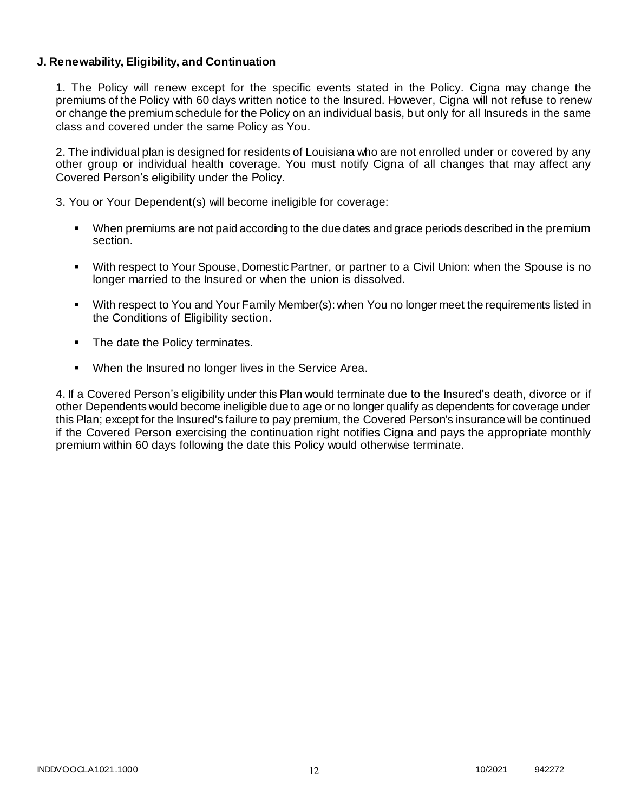### **J. Renewability, Eligibility, and Continuation**

1. The Policy will renew except for the specific events stated in the Policy. Cigna may change the premiums of the Policy with 60 days written notice to the Insured. However, Cigna will not refuse to renew or change the premium schedule for the Policy on an individual basis, but only for all Insureds in the same class and covered under the same Policy as You.

2. The individual plan is designed for residents of Louisiana who are not enrolled under or covered by any other group or individual health coverage. You must notify Cigna of all changes that may affect any Covered Person's eligibility under the Policy.

3. You or Your Dependent(s) will become ineligible for coverage:

- When premiums are not paid according to the due dates and grace periods described in the premium section.
- With respect to Your Spouse, Domestic Partner, or partner to a Civil Union: when the Spouse is no longer married to the Insured or when the union is dissolved.
- With respect to You and Your Family Member(s): when You no longer meet the requirements listed in the Conditions of Eligibility section.
- The date the Policy terminates.
- When the Insured no longer lives in the Service Area.

4. If a Covered Person's eligibility under this Plan would terminate due to the Insured's death, divorce or if other Dependents would become ineligible due to age or no longer qualify as dependents for coverage under this Plan; except for the Insured's failure to pay premium, the Covered Person's insurance will be continued if the Covered Person exercising the continuation right notifies Cigna and pays the appropriate monthly premium within 60 days following the date this Policy would otherwise terminate.